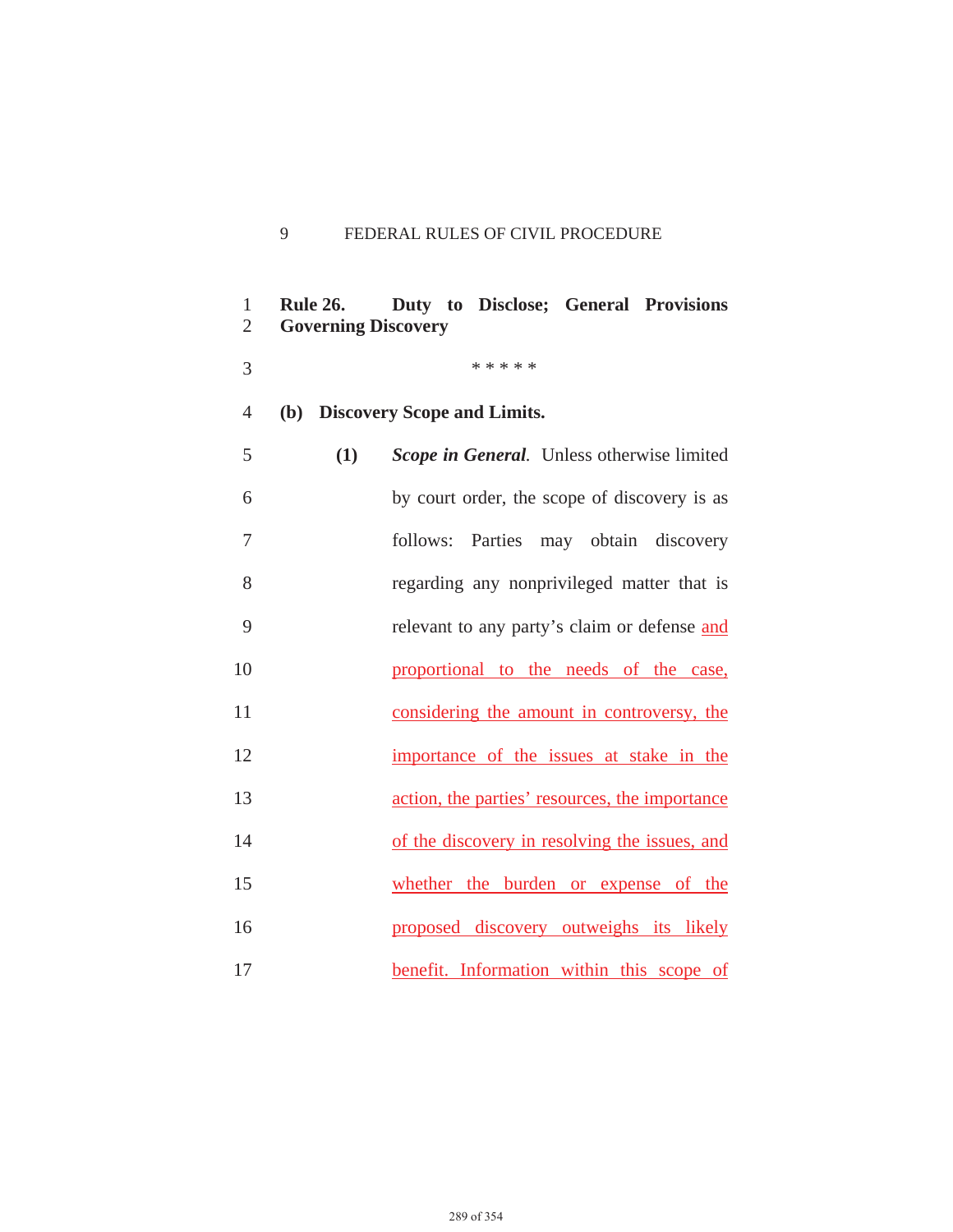## 9 FEDERAL RULES OF CIVIL PROCEDURE

| $\mathbf{1}$<br>$\overline{2}$ | <b>Rule 26.</b><br><b>Governing Discovery</b> | Duty to Disclose; General Provisions           |
|--------------------------------|-----------------------------------------------|------------------------------------------------|
| 3                              |                                               | * * * * *                                      |
| $\overline{4}$                 |                                               | (b) Discovery Scope and Limits.                |
| 5                              | (1)                                           | Scope in General. Unless otherwise limited     |
| 6                              |                                               | by court order, the scope of discovery is as   |
| 7                              |                                               | follows: Parties may obtain discovery          |
| 8                              |                                               | regarding any nonprivileged matter that is     |
| 9                              |                                               | relevant to any party's claim or defense and   |
| 10                             |                                               | proportional to the needs of the case,         |
| 11                             |                                               | considering the amount in controversy, the     |
| 12                             |                                               | importance of the issues at stake in the       |
| 13                             |                                               | action, the parties' resources, the importance |
| 14                             |                                               | of the discovery in resolving the issues, and  |
| 15                             |                                               | whether the burden or expense of the           |
| 16                             |                                               | proposed discovery outweighs its likely        |
| 17                             |                                               | benefit. Information within this scope of      |